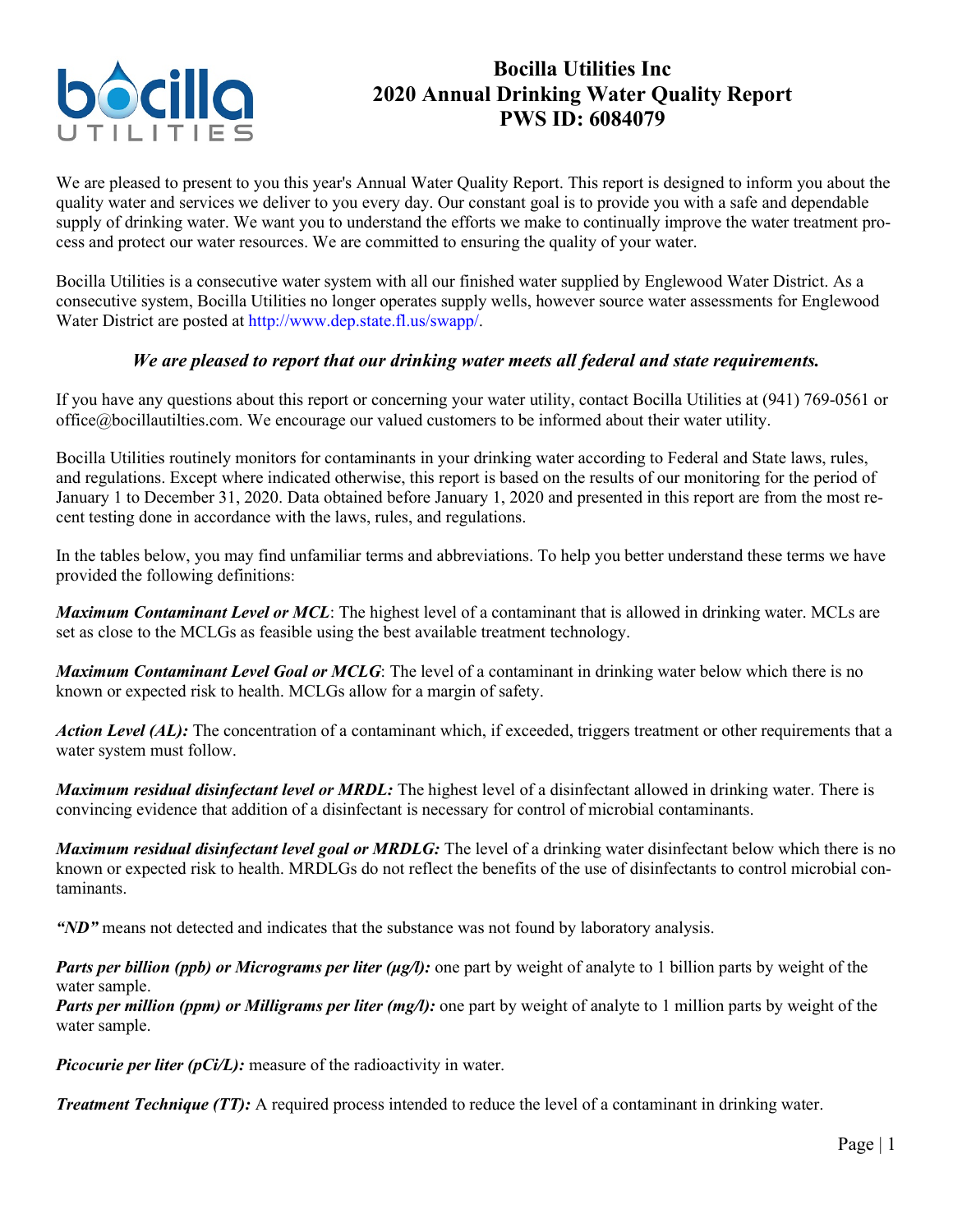

## **Bocilla Utilities Inc 2020 Annual Drinking Water Quality Report PWS ID: 6084079**

We are pleased to present to you this year's Annual Water Quality Report. This report is designed to inform you about the quality water and services we deliver to you every day. Our constant goal is to provide you with a safe and dependable supply of drinking water. We want you to understand the efforts we make to continually improve the water treatment process and protect our water resources. We are committed to ensuring the quality of your water.

Bocilla Utilities is a consecutive water system with all our finished water supplied by Englewood Water District. As a consecutive system, Bocilla Utilities no longer operates supply wells, however source water assessments for Englewood Water District are posted at http://www.dep.state.fl.us/swapp/.

## *We are pleased to report that our drinking water meets all federal and state requirements.*

If you have any questions about this report or concerning your water utility, contact Bocilla Utilities at (941) 769-0561 or office@bocillautilties.com. We encourage our valued customers to be informed about their water utility.

Bocilla Utilities routinely monitors for contaminants in your drinking water according to Federal and State laws, rules, and regulations. Except where indicated otherwise, this report is based on the results of our monitoring for the period of January 1 to December 31, 2020. Data obtained before January 1, 2020 and presented in this report are from the most recent testing done in accordance with the laws, rules, and regulations.

In the tables below, you may find unfamiliar terms and abbreviations. To help you better understand these terms we have provided the following definitions:

*Maximum Contaminant Level or MCL*: The highest level of a contaminant that is allowed in drinking water. MCLs are set as close to the MCLGs as feasible using the best available treatment technology.

*Maximum Contaminant Level Goal or MCLG*: The level of a contaminant in drinking water below which there is no known or expected risk to health. MCLGs allow for a margin of safety.

*Action Level (AL):* The concentration of a contaminant which, if exceeded, triggers treatment or other requirements that a water system must follow.

*Maximum residual disinfectant level or MRDL:* The highest level of a disinfectant allowed in drinking water. There is convincing evidence that addition of a disinfectant is necessary for control of microbial contaminants.

*Maximum residual disinfectant level goal or MRDLG:* The level of a drinking water disinfectant below which there is no known or expected risk to health. MRDLGs do not reflect the benefits of the use of disinfectants to control microbial contaminants.

*"ND"* means not detected and indicates that the substance was not found by laboratory analysis.

*Parts per billion (ppb) or Micrograms per liter (μg/l):* one part by weight of analyte to 1 billion parts by weight of the water sample.

*Parts per million (ppm) or Milligrams per liter (mg/l):* one part by weight of analyte to 1 million parts by weight of the water sample.

*Picocurie per liter (pCi/L)*: measure of the radioactivity in water.

*Treatment Technique (TT):* A required process intended to reduce the level of a contaminant in drinking water.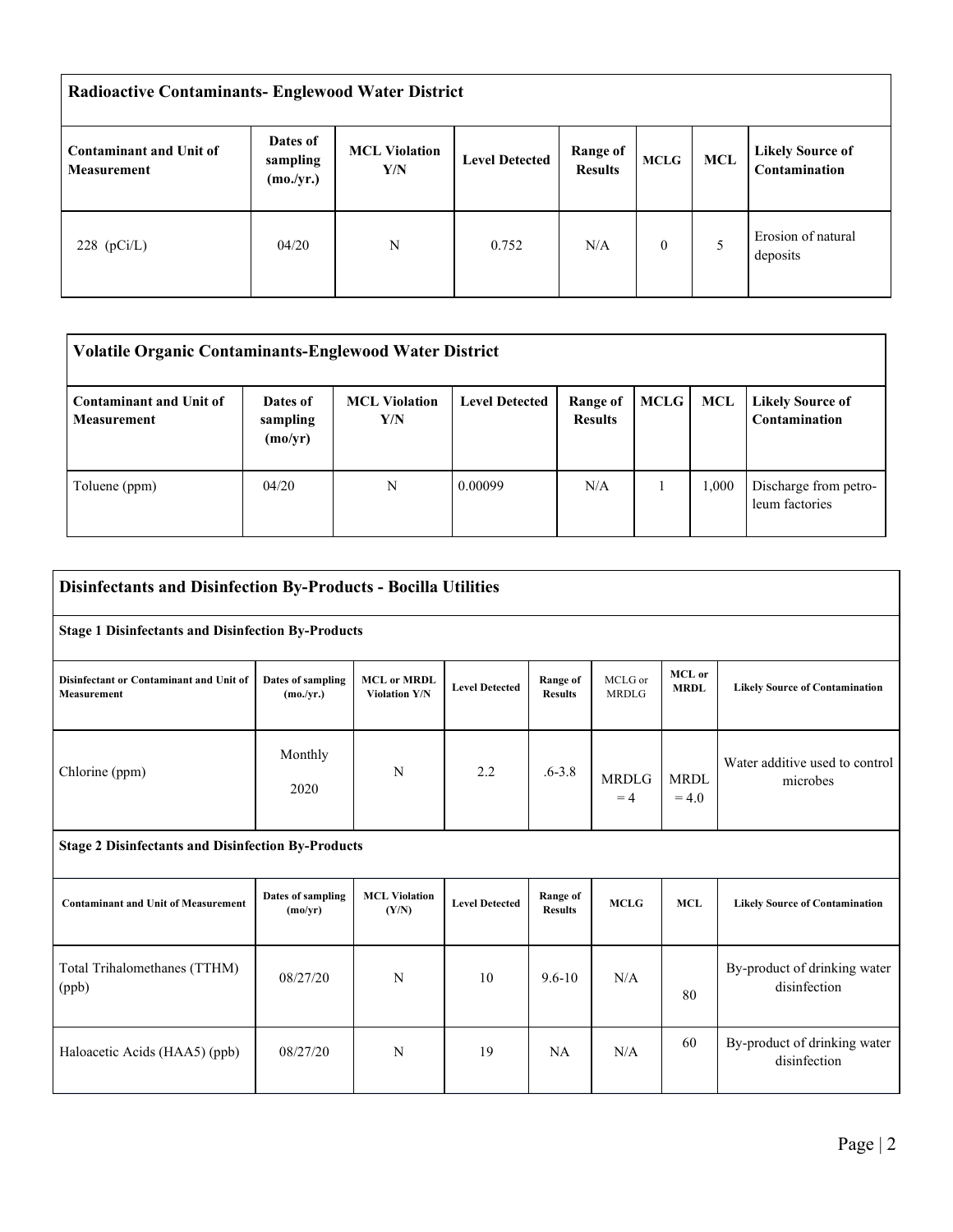| <b>Radioactive Contaminants- Englewood Water District</b> |                                   |                             |                       |                            |              |     |                                          |  |  |
|-----------------------------------------------------------|-----------------------------------|-----------------------------|-----------------------|----------------------------|--------------|-----|------------------------------------------|--|--|
| Contaminant and Unit of<br><b>Measurement</b>             | Dates of<br>sampling<br>(mo./yr.) | <b>MCL Violation</b><br>Y/N | <b>Level Detected</b> | Range of<br><b>Results</b> | <b>MCLG</b>  | MCL | <b>Likely Source of</b><br>Contamination |  |  |
| 228 $(pCi/L)$                                             | 04/20                             | N                           | 0.752                 | N/A                        | $\mathbf{0}$ | 5   | Erosion of natural<br>deposits           |  |  |

| <b>Volatile Organic Contaminants-Englewood Water District</b> |                                 |                             |                       |                            |      |       |                                          |  |  |
|---------------------------------------------------------------|---------------------------------|-----------------------------|-----------------------|----------------------------|------|-------|------------------------------------------|--|--|
| <b>Contaminant and Unit of</b><br><b>Measurement</b>          | Dates of<br>sampling<br>(mo/yr) | <b>MCL</b> Violation<br>Y/N | <b>Level Detected</b> | Range of<br><b>Results</b> | MCLG | MCL   | <b>Likely Source of</b><br>Contamination |  |  |
| Toluene (ppm)                                                 | 04/20                           | N                           | 0.00099               | N/A                        |      | 1.000 | Discharge from petro-<br>leum factories  |  |  |

| <b>Disinfectants and Disinfection By-Products - Bocilla Utilities</b> |                                     |                                            |                       |                            |                         |                        |                                              |  |  |
|-----------------------------------------------------------------------|-------------------------------------|--------------------------------------------|-----------------------|----------------------------|-------------------------|------------------------|----------------------------------------------|--|--|
| <b>Stage 1 Disinfectants and Disinfection By-Products</b>             |                                     |                                            |                       |                            |                         |                        |                                              |  |  |
| Disinfectant or Contaminant and Unit of<br><b>Measurement</b>         | Dates of sampling<br>(mo./yr.)      | <b>MCL or MRDL</b><br><b>Violation Y/N</b> | <b>Level Detected</b> | Range of<br><b>Results</b> | MCLG or<br><b>MRDLG</b> | MCL or<br><b>MRDL</b>  | <b>Likely Source of Contamination</b>        |  |  |
| Chlorine (ppm)                                                        | Monthly<br>2020                     | N                                          | 2.2                   | $.6 - 3.8$                 | <b>MRDLG</b><br>$=4$    | <b>MRDL</b><br>$= 4.0$ | Water additive used to control<br>microbes   |  |  |
| <b>Stage 2 Disinfectants and Disinfection By-Products</b>             |                                     |                                            |                       |                            |                         |                        |                                              |  |  |
| <b>Contaminant and Unit of Measurement</b>                            | <b>Dates of sampling</b><br>(mo/yr) | <b>MCL Violation</b><br>(Y/N)              | <b>Level Detected</b> | Range of<br><b>Results</b> | <b>MCLG</b>             | <b>MCL</b>             | <b>Likely Source of Contamination</b>        |  |  |
| Total Trihalomethanes (TTHM)<br>(ppb)                                 | 08/27/20                            | N                                          | 10                    | $9.6 - 10$                 | N/A                     | 80                     | By-product of drinking water<br>disinfection |  |  |
| Haloacetic Acids (HAA5) (ppb)                                         | 08/27/20                            | N                                          | 19                    | <b>NA</b>                  | N/A                     | 60                     | By-product of drinking water<br>disinfection |  |  |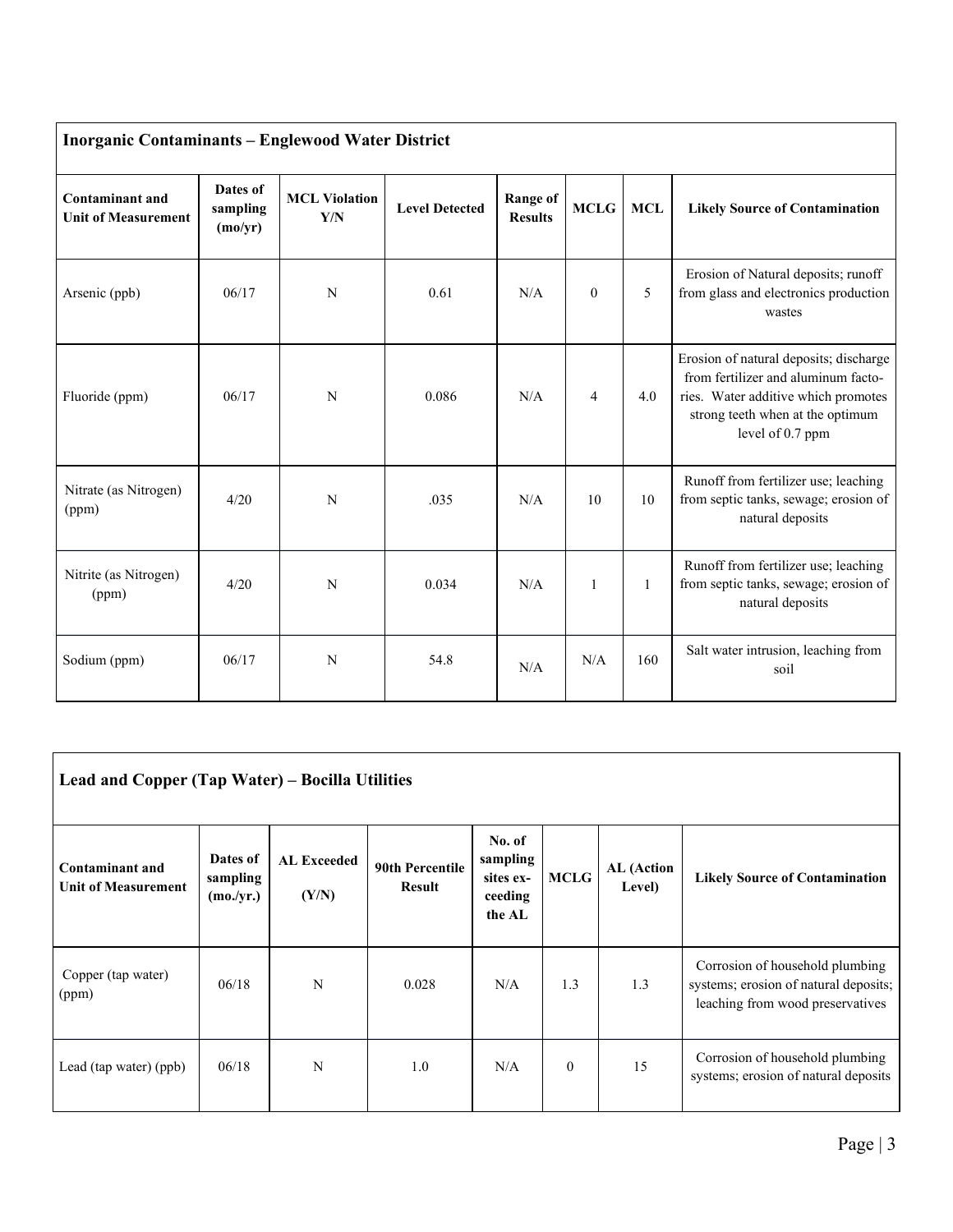| <b>Inorganic Contaminants - Englewood Water District</b> |                                 |                             |                       |                                   |              |            |                                                                                                                                                                              |  |  |
|----------------------------------------------------------|---------------------------------|-----------------------------|-----------------------|-----------------------------------|--------------|------------|------------------------------------------------------------------------------------------------------------------------------------------------------------------------------|--|--|
| Contaminant and<br><b>Unit of Measurement</b>            | Dates of<br>sampling<br>(mo/yr) | <b>MCL Violation</b><br>Y/N | <b>Level Detected</b> | <b>Range of</b><br><b>Results</b> | <b>MCLG</b>  | <b>MCL</b> | <b>Likely Source of Contamination</b>                                                                                                                                        |  |  |
| Arsenic (ppb)                                            | 06/17                           | N                           | 0.61                  | N/A                               | $\theta$     | 5          | Erosion of Natural deposits; runoff<br>from glass and electronics production<br>wastes                                                                                       |  |  |
| Fluoride (ppm)                                           | 06/17                           | N                           | 0.086                 | N/A                               | 4            | 4.0        | Erosion of natural deposits; discharge<br>from fertilizer and aluminum facto-<br>ries. Water additive which promotes<br>strong teeth when at the optimum<br>level of 0.7 ppm |  |  |
| Nitrate (as Nitrogen)<br>(ppm)                           | 4/20                            | N                           | .035                  | N/A                               | 10           | 10         | Runoff from fertilizer use; leaching<br>from septic tanks, sewage; erosion of<br>natural deposits                                                                            |  |  |
| Nitrite (as Nitrogen)<br>(ppm)                           | 4/20                            | N                           | 0.034                 | N/A                               | $\mathbf{1}$ | 1          | Runoff from fertilizer use; leaching<br>from septic tanks, sewage; erosion of<br>natural deposits                                                                            |  |  |
| Sodium (ppm)                                             | 06/17                           | N                           | 54.8                  | N/A                               | N/A          | 160        | Salt water intrusion, leaching from<br>soil                                                                                                                                  |  |  |

| Lead and Copper (Tap Water) – Bocilla Utilities      |                                   |                             |                                         |                                                      |              |                      |                                                                                                              |  |  |  |
|------------------------------------------------------|-----------------------------------|-----------------------------|-----------------------------------------|------------------------------------------------------|--------------|----------------------|--------------------------------------------------------------------------------------------------------------|--|--|--|
| <b>Contaminant and</b><br><b>Unit of Measurement</b> | Dates of<br>sampling<br>(mo./yr.) | <b>AL Exceeded</b><br>(Y/N) | <b>90th Percentile</b><br><b>Result</b> | No. of<br>sampling<br>sites ex-<br>ceeding<br>the AL | <b>MCLG</b>  | AL (Action<br>Level) | <b>Likely Source of Contamination</b>                                                                        |  |  |  |
| Copper (tap water)<br>(ppm)                          | 06/18                             | N                           | 0.028                                   | N/A                                                  | 1.3          | 1.3                  | Corrosion of household plumbing<br>systems; erosion of natural deposits;<br>leaching from wood preservatives |  |  |  |
| Lead (tap water) (ppb)                               | 06/18                             | N                           | 1.0                                     | N/A                                                  | $\mathbf{0}$ | 15                   | Corrosion of household plumbing<br>systems; erosion of natural deposits                                      |  |  |  |